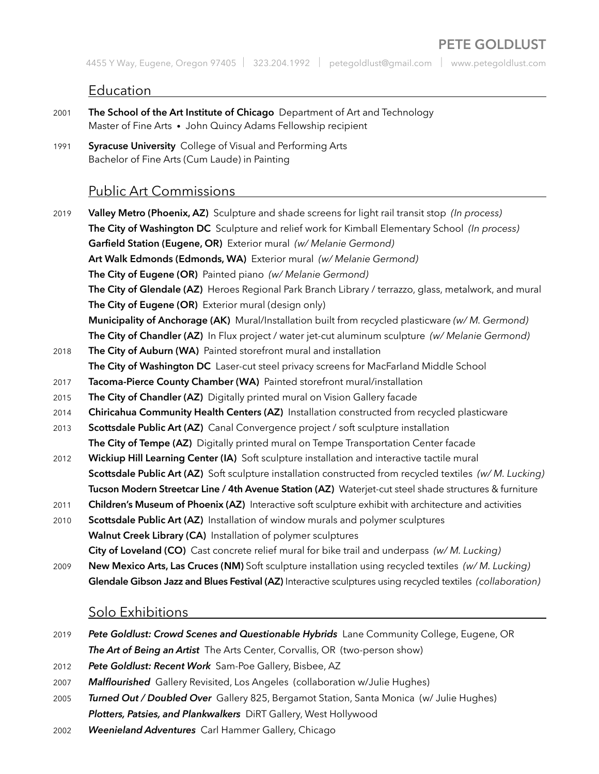# **PETE GOLDLUST**

4455 Y Way, Eugene, Oregon 97405 | 323.204.1992 | petegoldlust@gmail.com | www.petegoldlust.com

### Education

- 2001 **The School of the Art Institute of Chicago** Department of Art and Technology Master of Fine Arts • John Quincy Adams Fellowship recipient
- 1991 **Syracuse University** College of Visual and Performing Arts Bachelor of Fine Arts (Cum Laude) in Painting

## Public Art Commissions

2019 **Valley Metro (Phoenix, AZ)** Sculpture and shade screens for light rail transit stop *(In process)* **The City of Washington DC** Sculpture and relief work for Kimball Elementary School *(In process)* **Garfield Station (Eugene, OR)** Exterior mural *(w/ Melanie Germond)* **Art Walk Edmonds (Edmonds, WA)** Exterior mural *(w/ Melanie Germond)* **The City of Eugene (OR)** Painted piano *(w/ Melanie Germond)* **The City of Glendale (AZ)** Heroes Regional Park Branch Library / terrazzo, glass, metalwork, and mural **The City of Eugene (OR)** Exterior mural (design only) **Municipality of Anchorage (AK)** Mural/Installation built from recycled plasticware *(w/ M. Germond)* **The City of Chandler (AZ)** In Flux project / water jet-cut aluminum sculpture *(w/ Melanie Germond)* 2018 **The City of Auburn (WA)** Painted storefront mural and installation **The City of Washington DC** Laser-cut steel privacy screens for MacFarland Middle School 2017 **Tacoma-Pierce County Chamber (WA)** Painted storefront mural/installation 2015 **The City of Chandler (AZ)** Digitally printed mural on Vision Gallery facade 2014 **Chiricahua Community Health Centers (AZ)** Installation constructed from recycled plasticware 2013 **Scottsdale Public Art (AZ)** Canal Convergence project / soft sculpture installation **The City of Tempe (AZ)** Digitally printed mural on Tempe Transportation Center facade 2012 **Wickiup Hill Learning Center (IA)** Soft sculpture installation and interactive tactile mural **Scottsdale Public Art (AZ)** Soft sculpture installation constructed from recycled textiles *(w/ M. Lucking)* **Tucson Modern Streetcar Line / 4th Avenue Station (AZ)** Waterjet-cut steel shade structures & furniture 2011 **Children's Museum of Phoenix (AZ)** Interactive soft sculpture exhibit with architecture and activities 2010 **Scottsdale Public Art (AZ)** Installation of window murals and polymer sculptures **Walnut Creek Library (CA)** Installation of polymer sculptures **City of Loveland (CO)** Cast concrete relief mural for bike trail and underpass *(w/ M. Lucking)* 2009 **New Mexico Arts, Las Cruces (NM)** Soft sculpture installation using recycled textiles *(w/ M. Lucking)* **Glendale Gibson Jazz and Blues Festival (AZ)** Interactive sculptures using recycled textiles *(collaboration)*

### Solo Exhibitions

- 2019 *Pete Goldlust: Crowd Scenes and Questionable Hybrids* Lane Community College, Eugene, OR **The Art of Being an Artist** The Arts Center, Corvallis, OR (two-person show)
- 2012 *Pete Goldlust: Recent Work* Sam-Poe Gallery, Bisbee, AZ
- 2007 *Malflourished* Gallery Revisited, Los Angeles (collaboration w/Julie Hughes)
- 2005 *Turned Out / Doubled Over* Gallery 825, Bergamot Station, Santa Monica (w/ Julie Hughes) *Plotters, Patsies, and Plankwalkers* DiRT Gallery, West Hollywood
- 2002 *Weenieland Adventures* Carl Hammer Gallery, Chicago